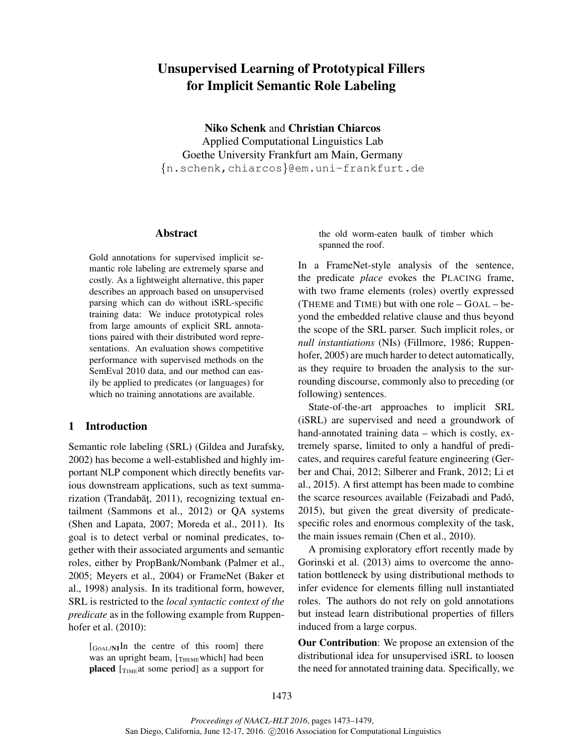# Unsupervised Learning of Prototypical Fillers for Implicit Semantic Role Labeling

Niko Schenk and Christian Chiarcos Applied Computational Linguistics Lab Goethe University Frankfurt am Main, Germany {n.schenk,chiarcos}@em.uni-frankfurt.de

#### Abstract

Gold annotations for supervised implicit semantic role labeling are extremely sparse and costly. As a lightweight alternative, this paper describes an approach based on unsupervised parsing which can do without iSRL-specific training data: We induce prototypical roles from large amounts of explicit SRL annotations paired with their distributed word representations. An evaluation shows competitive performance with supervised methods on the SemEval 2010 data, and our method can easily be applied to predicates (or languages) for which no training annotations are available.

# 1 Introduction

Semantic role labeling (SRL) (Gildea and Jurafsky, 2002) has become a well-established and highly important NLP component which directly benefits various downstream applications, such as text summarization (Trandabăt, 2011), recognizing textual entailment (Sammons et al., 2012) or QA systems (Shen and Lapata, 2007; Moreda et al., 2011). Its goal is to detect verbal or nominal predicates, together with their associated arguments and semantic roles, either by PropBank/Nombank (Palmer et al., 2005; Meyers et al., 2004) or FrameNet (Baker et al., 1998) analysis. In its traditional form, however, SRL is restricted to the *local syntactic context of the predicate* as in the following example from Ruppenhofer et al. (2010):

 $\begin{bmatrix} G_{\text{OAL}} & H \end{bmatrix}$  for the centre of this room] there was an upright beam,  $[\text{THEME}$ which] had been placed  $[T<sub>IME</sub>$ at some period] as a support for the old worm-eaten baulk of timber which spanned the roof.

In a FrameNet-style analysis of the sentence, the predicate *place* evokes the PLACING frame, with two frame elements (roles) overtly expressed (THEME and TIME) but with one role – GOAL – beyond the embedded relative clause and thus beyond the scope of the SRL parser. Such implicit roles, or *null instantiations* (NIs) (Fillmore, 1986; Ruppenhofer, 2005) are much harder to detect automatically, as they require to broaden the analysis to the surrounding discourse, commonly also to preceding (or following) sentences.

State-of-the-art approaches to implicit SRL (iSRL) are supervised and need a groundwork of hand-annotated training data – which is costly, extremely sparse, limited to only a handful of predicates, and requires careful feature engineering (Gerber and Chai, 2012; Silberer and Frank, 2012; Li et al., 2015). A first attempt has been made to combine the scarce resources available (Feizabadi and Pado,´ 2015), but given the great diversity of predicatespecific roles and enormous complexity of the task, the main issues remain (Chen et al., 2010).

A promising exploratory effort recently made by Gorinski et al. (2013) aims to overcome the annotation bottleneck by using distributional methods to infer evidence for elements filling null instantiated roles. The authors do not rely on gold annotations but instead learn distributional properties of fillers induced from a large corpus.

Our Contribution: We propose an extension of the distributional idea for unsupervised iSRL to loosen the need for annotated training data. Specifically, we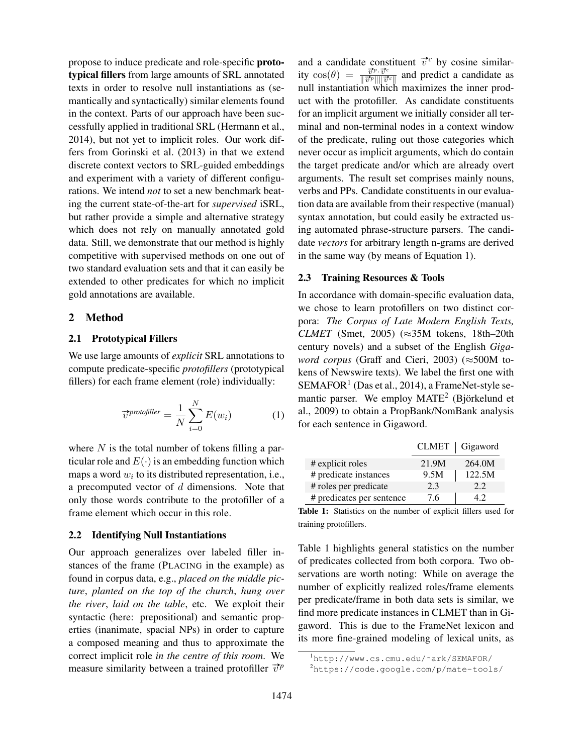propose to induce predicate and role-specific prototypical fillers from large amounts of SRL annotated texts in order to resolve null instantiations as (semantically and syntactically) similar elements found in the context. Parts of our approach have been successfully applied in traditional SRL (Hermann et al., 2014), but not yet to implicit roles. Our work differs from Gorinski et al. (2013) in that we extend discrete context vectors to SRL-guided embeddings and experiment with a variety of different configurations. We intend *not* to set a new benchmark beating the current state-of-the-art for *supervised* iSRL, but rather provide a simple and alternative strategy which does not rely on manually annotated gold data. Still, we demonstrate that our method is highly competitive with supervised methods on one out of two standard evaluation sets and that it can easily be extended to other predicates for which no implicit gold annotations are available.

#### 2 Method

#### 2.1 Prototypical Fillers

We use large amounts of *explicit* SRL annotations to compute predicate-specific *protofillers* (prototypical fillers) for each frame element (role) individually:

$$
\vec{v}^{\text{protofiller}} = \frac{1}{N} \sum_{i=0}^{N} E(w_i)
$$
 (1)

where  $N$  is the total number of tokens filling a particular role and  $E(\cdot)$  is an embedding function which maps a word  $w_i$  to its distributed representation, i.e., a precomputed vector of  $d$  dimensions. Note that only those words contribute to the protofiller of a frame element which occur in this role.

## 2.2 Identifying Null Instantiations

Our approach generalizes over labeled filler instances of the frame (PLACING in the example) as found in corpus data, e.g., *placed on the middle picture*, *planted on the top of the church*, *hung over the river*, *laid on the table*, etc. We exploit their syntactic (here: prepositional) and semantic properties (inanimate, spacial NPs) in order to capture a composed meaning and thus to approximate the correct implicit role *in the centre of this room*. We measure similarity between a trained protofiller  $\vec{v}^p$ 

and a candidate constituent  $\vec{v}^c$  by cosine similarity  $\cos(\theta) = \frac{\vec{v}^p \cdot \vec{v}^c}{\|\vec{v}^p\|\|\vec{v}^c\|}$  $\frac{v^{\mu} v^{\nu}}{\Vert \vec{v}^{\rho} \Vert \Vert \vec{v}^{\sigma} \Vert}$  and predict a candidate as null instantiation which maximizes the inner product with the protofiller. As candidate constituents for an implicit argument we initially consider all terminal and non-terminal nodes in a context window of the predicate, ruling out those categories which never occur as implicit arguments, which do contain the target predicate and/or which are already overt arguments. The result set comprises mainly nouns, verbs and PPs. Candidate constituents in our evaluation data are available from their respective (manual) syntax annotation, but could easily be extracted using automated phrase-structure parsers. The candidate *vectors* for arbitrary length n-grams are derived in the same way (by means of Equation 1).

# 2.3 Training Resources & Tools

In accordance with domain-specific evaluation data, we chose to learn protofillers on two distinct corpora: *The Corpus of Late Modern English Texts, CLMET* (Smet, 2005) ( $\approx$ 35M tokens, 18th–20th century novels) and a subset of the English *Gigaword corpus* (Graff and Cieri, 2003) (≈500M tokens of Newswire texts). We label the first one with SEMAFOR<sup>1</sup> (Das et al., 2014), a FrameNet-style semantic parser. We employ  $MATE<sup>2</sup>$  (Björkelund et al., 2009) to obtain a PropBank/NomBank analysis for each sentence in Gigaword.

|                           |       | CLMET   Gigaword |
|---------------------------|-------|------------------|
| # explicit roles          | 21.9M | 264.0M           |
| # predicate instances     | 9.5M  | 122.5M           |
| # roles per predicate     | 2.3   | 2.2.             |
| # predicates per sentence | 76    |                  |

Table 1: Statistics on the number of explicit fillers used for training protofillers.

Table 1 highlights general statistics on the number of predicates collected from both corpora. Two observations are worth noting: While on average the number of explicitly realized roles/frame elements per predicate/frame in both data sets is similar, we find more predicate instances in CLMET than in Gigaword. This is due to the FrameNet lexicon and its more fine-grained modeling of lexical units, as

<sup>1</sup>http://www.cs.cmu.edu/˜ark/SEMAFOR/

<sup>2</sup>https://code.google.com/p/mate-tools/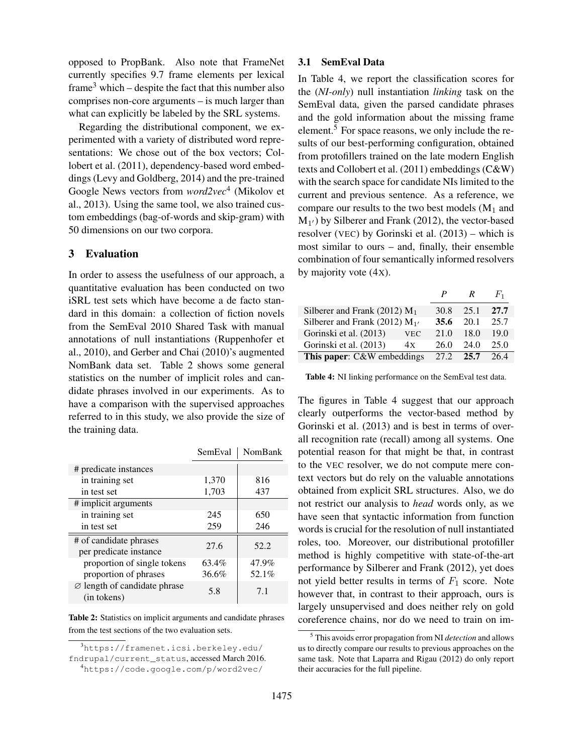opposed to PropBank. Also note that FrameNet currently specifies 9.7 frame elements per lexical frame<sup>3</sup> which – despite the fact that this number also comprises non-core arguments – is much larger than what can explicitly be labeled by the SRL systems.

Regarding the distributional component, we experimented with a variety of distributed word representations: We chose out of the box vectors; Collobert et al. (2011), dependency-based word embeddings (Levy and Goldberg, 2014) and the pre-trained Google News vectors from *word2vec*<sup>4</sup> (Mikolov et al., 2013). Using the same tool, we also trained custom embeddings (bag-of-words and skip-gram) with 50 dimensions on our two corpora.

# 3 Evaluation

In order to assess the usefulness of our approach, a quantitative evaluation has been conducted on two iSRL test sets which have become a de facto standard in this domain: a collection of fiction novels from the SemEval 2010 Shared Task with manual annotations of null instantiations (Ruppenhofer et al., 2010), and Gerber and Chai (2010)'s augmented NomBank data set. Table 2 shows some general statistics on the number of implicit roles and candidate phrases involved in our experiments. As to have a comparison with the supervised approaches referred to in this study, we also provide the size of the training data.

|                                                         | SemEval | NomBank |
|---------------------------------------------------------|---------|---------|
| # predicate instances                                   |         |         |
| in training set                                         | 1,370   | 816     |
| in test set                                             | 1,703   | 437     |
| # implicit arguments                                    |         |         |
| in training set                                         | 245     | 650     |
| in test set                                             | 259     | 246     |
| # of candidate phrases<br>per predicate instance        | 27.6    | 52.2    |
| proportion of single tokens                             | 63.4%   | 47.9%   |
| proportion of phrases                                   | 36.6%   | 52.1%   |
| $\varnothing$ length of candidate phrase<br>(in tokens) | 5.8     | 7.1     |

Table 2: Statistics on implicit arguments and candidate phrases from the test sections of the two evaluation sets.

<sup>3</sup>https://framenet.icsi.berkeley.edu/ fndrupal/current\_status, accessed March 2016.

## 3.1 SemEval Data

In Table 4, we report the classification scores for the (*NI-only*) null instantiation *linking* task on the SemEval data, given the parsed candidate phrases and the gold information about the missing frame element.<sup>5</sup> For space reasons, we only include the results of our best-performing configuration, obtained from protofillers trained on the late modern English texts and Collobert et al. (2011) embeddings (C&W) with the search space for candidate NIs limited to the current and previous sentence. As a reference, we compare our results to the two best models  $(M_1$  and  $M_{1'}$ ) by Silberer and Frank (2012), the vector-based resolver (VEC) by Gorinski et al. (2013) – which is most similar to ours – and, finally, their ensemble combination of four semantically informed resolvers by majority vote (4X).

|                                    |            | P    | R    | $F_1$ |
|------------------------------------|------------|------|------|-------|
| Silberer and Frank (2012) $M_1$    |            | 30.8 | 25.1 | 27.7  |
| Silberer and Frank (2012) $M_{1'}$ |            | 35.6 | 20.1 | 25.7  |
| Gorinski et al. (2013)             | <b>VEC</b> | 21.0 | 18.0 | 19.0  |
| Gorinski et al. (2013)             | 4x         | 26.0 | 24.0 | 25.0  |
| This paper: C&W embeddings         |            | 27.2 | 25.7 | 26.4  |

Table 4: NI linking performance on the SemEval test data.

The figures in Table 4 suggest that our approach clearly outperforms the vector-based method by Gorinski et al. (2013) and is best in terms of overall recognition rate (recall) among all systems. One potential reason for that might be that, in contrast to the VEC resolver, we do not compute mere context vectors but do rely on the valuable annotations obtained from explicit SRL structures. Also, we do not restrict our analysis to *head* words only, as we have seen that syntactic information from function words is crucial for the resolution of null instantiated roles, too. Moreover, our distributional protofiller method is highly competitive with state-of-the-art performance by Silberer and Frank (2012), yet does not yield better results in terms of  $F_1$  score. Note however that, in contrast to their approach, ours is largely unsupervised and does neither rely on gold coreference chains, nor do we need to train on im-

<sup>4</sup>https://code.google.com/p/word2vec/

<sup>5</sup> This avoids error propagation from NI *detection* and allows us to directly compare our results to previous approaches on the same task. Note that Laparra and Rigau (2012) do only report their accuracies for the full pipeline.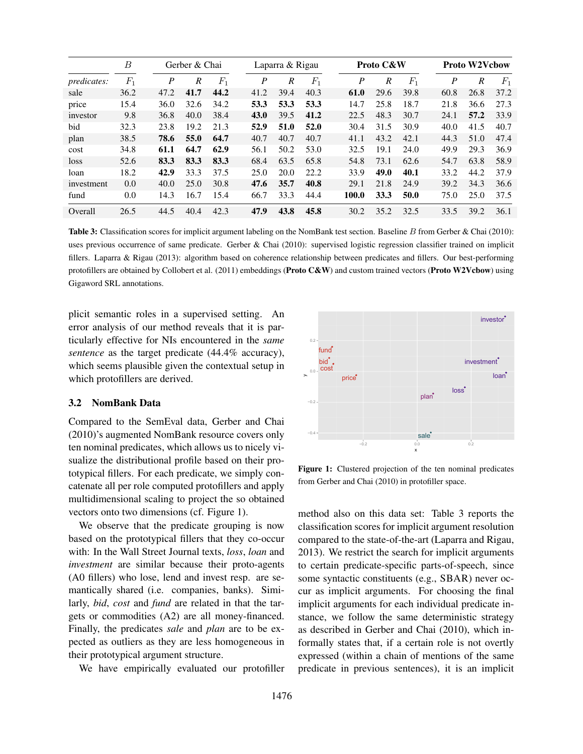|                    | В     |      | Gerber & Chai    |       |                  | Laparra & Rigau  |       |  | Proto C&W        |      |       |      | <b>Proto W2Vcbow</b> |       |  |
|--------------------|-------|------|------------------|-------|------------------|------------------|-------|--|------------------|------|-------|------|----------------------|-------|--|
| <i>predicates:</i> | $F_1$ | P    | $\boldsymbol{R}$ | $F_1$ | $\boldsymbol{P}$ | $\boldsymbol{R}$ | $F_1$ |  | $\boldsymbol{P}$ | R    | $F_1$ | P    | R                    | $F_1$ |  |
| sale               | 36.2  | 47.2 | 41.7             | 44.2  | 41.2             | 39.4             | 40.3  |  | 61.0             | 29.6 | 39.8  | 60.8 | 26.8                 | 37.2  |  |
| price              | 15.4  | 36.0 | 32.6             | 34.2  | 53.3             | 53.3             | 53.3  |  | 14.7             | 25.8 | 18.7  | 21.8 | 36.6                 | 27.3  |  |
| investor           | 9.8   | 36.8 | 40.0             | 38.4  | 43.0             | 39.5             | 41.2  |  | 22.5             | 48.3 | 30.7  | 24.1 | 57.2                 | 33.9  |  |
| bid                | 32.3  | 23.8 | 19.2             | 21.3  | 52.9             | 51.0             | 52.0  |  | 30.4             | 31.5 | 30.9  | 40.0 | 41.5                 | 40.7  |  |
| plan               | 38.5  | 78.6 | 55.0             | 64.7  | 40.7             | 40.7             | 40.7  |  | 41.1             | 43.2 | 42.1  | 44.3 | 51.0                 | 47.4  |  |
| cost               | 34.8  | 61.1 | 64.7             | 62.9  | 56.1             | 50.2             | 53.0  |  | 32.5             | 19.1 | 24.0  | 49.9 | 29.3                 | 36.9  |  |
| loss               | 52.6  | 83.3 | 83.3             | 83.3  | 68.4             | 63.5             | 65.8  |  | 54.8             | 73.1 | 62.6  | 54.7 | 63.8                 | 58.9  |  |
| loan               | 18.2  | 42.9 | 33.3             | 37.5  | 25.0             | 20.0             | 22.2  |  | 33.9             | 49.0 | 40.1  | 33.2 | 44.2                 | 37.9  |  |
| investment         | 0.0   | 40.0 | 25.0             | 30.8  | 47.6             | 35.7             | 40.8  |  | 29.1             | 21.8 | 24.9  | 39.2 | 34.3                 | 36.6  |  |
| fund               | 0.0   | 14.3 | 16.7             | 15.4  | 66.7             | 33.3             | 44.4  |  | 100.0            | 33.3 | 50.0  | 75.0 | 25.0                 | 37.5  |  |
| Overall            | 26.5  | 44.5 | 40.4             | 42.3  | 47.9             | 43.8             | 45.8  |  | 30.2             | 35.2 | 32.5  | 33.5 | 39.2                 | 36.1  |  |

Table 3: Classification scores for implicit argument labeling on the NomBank test section. Baseline B from Gerber & Chai (2010): uses previous occurrence of same predicate. Gerber & Chai (2010): supervised logistic regression classifier trained on implicit fillers. Laparra & Rigau (2013): algorithm based on coherence relationship between predicates and fillers. Our best-performing protofillers are obtained by Collobert et al. (2011) embeddings (Proto C&W) and custom trained vectors (Proto W2Vcbow) using Gigaword SRL annotations.

plicit semantic roles in a supervised setting. An error analysis of our method reveals that it is particularly effective for NIs encountered in the *same sentence* as the target predicate (44.4% accuracy), which seems plausible given the contextual setup in which protofillers are derived.

# 3.2 NomBank Data

Compared to the SemEval data, Gerber and Chai (2010)'s augmented NomBank resource covers only ten nominal predicates, which allows us to nicely visualize the distributional profile based on their prototypical fillers. For each predicate, we simply concatenate all per role computed protofillers and apply multidimensional scaling to project the so obtained vectors onto two dimensions (cf. Figure 1).

We observe that the predicate grouping is now based on the prototypical fillers that they co-occur with: In the Wall Street Journal texts, *loss*, *loan* and *investment* are similar because their proto-agents (A0 fillers) who lose, lend and invest resp. are semantically shared (i.e. companies, banks). Similarly, *bid*, *cost* and *fund* are related in that the targets or commodities (A2) are all money-financed. Finally, the predicates *sale* and *plan* are to be expected as outliers as they are less homogeneous in their prototypical argument structure.

We have empirically evaluated our protofiller



Figure 1: Clustered projection of the ten nominal predicates from Gerber and Chai (2010) in protofiller space.

method also on this data set: Table 3 reports the classification scores for implicit argument resolution compared to the state-of-the-art (Laparra and Rigau, 2013). We restrict the search for implicit arguments to certain predicate-specific parts-of-speech, since some syntactic constituents (e.g., SBAR) never occur as implicit arguments. For choosing the final implicit arguments for each individual predicate instance, we follow the same deterministic strategy as described in Gerber and Chai (2010), which informally states that, if a certain role is not overtly expressed (within a chain of mentions of the same predicate in previous sentences), it is an implicit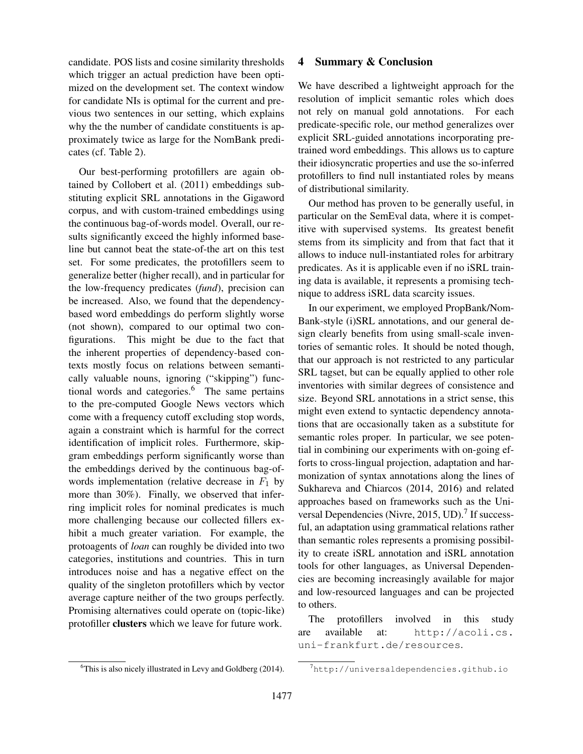candidate. POS lists and cosine similarity thresholds which trigger an actual prediction have been optimized on the development set. The context window for candidate NIs is optimal for the current and previous two sentences in our setting, which explains why the the number of candidate constituents is approximately twice as large for the NomBank predicates (cf. Table 2).

Our best-performing protofillers are again obtained by Collobert et al. (2011) embeddings substituting explicit SRL annotations in the Gigaword corpus, and with custom-trained embeddings using the continuous bag-of-words model. Overall, our results significantly exceed the highly informed baseline but cannot beat the state-of-the art on this test set. For some predicates, the protofillers seem to generalize better (higher recall), and in particular for the low-frequency predicates (*fund*), precision can be increased. Also, we found that the dependencybased word embeddings do perform slightly worse (not shown), compared to our optimal two configurations. This might be due to the fact that the inherent properties of dependency-based contexts mostly focus on relations between semantically valuable nouns, ignoring ("skipping") functional words and categories.<sup>6</sup> The same pertains to the pre-computed Google News vectors which come with a frequency cutoff excluding stop words, again a constraint which is harmful for the correct identification of implicit roles. Furthermore, skipgram embeddings perform significantly worse than the embeddings derived by the continuous bag-ofwords implementation (relative decrease in  $F_1$  by more than 30%). Finally, we observed that inferring implicit roles for nominal predicates is much more challenging because our collected fillers exhibit a much greater variation. For example, the protoagents of *loan* can roughly be divided into two categories, institutions and countries. This in turn introduces noise and has a negative effect on the quality of the singleton protofillers which by vector average capture neither of the two groups perfectly. Promising alternatives could operate on (topic-like) protofiller clusters which we leave for future work.

#### $6$ This is also nicely illustrated in Levy and Goldberg (2014).

4 Summary & Conclusion

We have described a lightweight approach for the resolution of implicit semantic roles which does not rely on manual gold annotations. For each predicate-specific role, our method generalizes over explicit SRL-guided annotations incorporating pretrained word embeddings. This allows us to capture their idiosyncratic properties and use the so-inferred protofillers to find null instantiated roles by means of distributional similarity.

Our method has proven to be generally useful, in particular on the SemEval data, where it is competitive with supervised systems. Its greatest benefit stems from its simplicity and from that fact that it allows to induce null-instantiated roles for arbitrary predicates. As it is applicable even if no iSRL training data is available, it represents a promising technique to address iSRL data scarcity issues.

In our experiment, we employed PropBank/Nom-Bank-style (i)SRL annotations, and our general design clearly benefits from using small-scale inventories of semantic roles. It should be noted though, that our approach is not restricted to any particular SRL tagset, but can be equally applied to other role inventories with similar degrees of consistence and size. Beyond SRL annotations in a strict sense, this might even extend to syntactic dependency annotations that are occasionally taken as a substitute for semantic roles proper. In particular, we see potential in combining our experiments with on-going efforts to cross-lingual projection, adaptation and harmonization of syntax annotations along the lines of Sukhareva and Chiarcos (2014, 2016) and related approaches based on frameworks such as the Universal Dependencies (Nivre, 2015, UD).<sup>7</sup> If successful, an adaptation using grammatical relations rather than semantic roles represents a promising possibility to create iSRL annotation and iSRL annotation tools for other languages, as Universal Dependencies are becoming increasingly available for major and low-resourced languages and can be projected to others.

The protofillers involved in this study are available at: http://acoli.cs. uni-frankfurt.de/resources.

 $7$ http://universaldependencies.github.io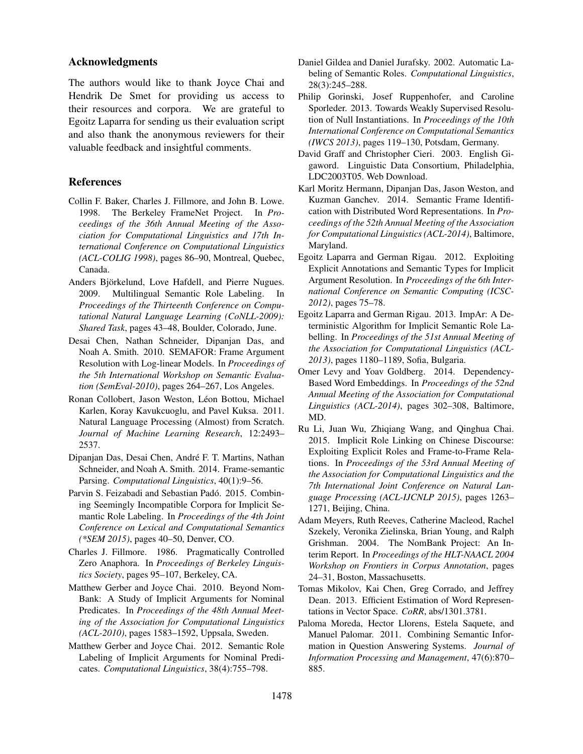# Acknowledgments

The authors would like to thank Joyce Chai and Hendrik De Smet for providing us access to their resources and corpora. We are grateful to Egoitz Laparra for sending us their evaluation script and also thank the anonymous reviewers for their valuable feedback and insightful comments.

# References

- Collin F. Baker, Charles J. Fillmore, and John B. Lowe. 1998. The Berkeley FrameNet Project. In *Proceedings of the 36th Annual Meeting of the Association for Computational Linguistics and 17th International Conference on Computational Linguistics (ACL-COLIG 1998)*, pages 86–90, Montreal, Quebec, Canada.
- Anders Björkelund, Love Hafdell, and Pierre Nugues. 2009. Multilingual Semantic Role Labeling. In *Proceedings of the Thirteenth Conference on Computational Natural Language Learning (CoNLL-2009): Shared Task*, pages 43–48, Boulder, Colorado, June.
- Desai Chen, Nathan Schneider, Dipanjan Das, and Noah A. Smith. 2010. SEMAFOR: Frame Argument Resolution with Log-linear Models. In *Proceedings of the 5th International Workshop on Semantic Evaluation (SemEval-2010)*, pages 264–267, Los Angeles.
- Ronan Collobert, Jason Weston, Léon Bottou, Michael Karlen, Koray Kavukcuoglu, and Pavel Kuksa. 2011. Natural Language Processing (Almost) from Scratch. *Journal of Machine Learning Research*, 12:2493– 2537.
- Dipanjan Das, Desai Chen, Andre F. T. Martins, Nathan ´ Schneider, and Noah A. Smith. 2014. Frame-semantic Parsing. *Computational Linguistics*, 40(1):9–56.
- Parvin S. Feizabadi and Sebastian Padó. 2015. Combining Seemingly Incompatible Corpora for Implicit Semantic Role Labeling. In *Proceedings of the 4th Joint Conference on Lexical and Computational Semantics (\*SEM 2015)*, pages 40–50, Denver, CO.
- Charles J. Fillmore. 1986. Pragmatically Controlled Zero Anaphora. In *Proceedings of Berkeley Linguistics Society*, pages 95–107, Berkeley, CA.
- Matthew Gerber and Joyce Chai. 2010. Beyond Nom-Bank: A Study of Implicit Arguments for Nominal Predicates. In *Proceedings of the 48th Annual Meeting of the Association for Computational Linguistics (ACL-2010)*, pages 1583–1592, Uppsala, Sweden.
- Matthew Gerber and Joyce Chai. 2012. Semantic Role Labeling of Implicit Arguments for Nominal Predicates. *Computational Linguistics*, 38(4):755–798.
- Daniel Gildea and Daniel Jurafsky. 2002. Automatic Labeling of Semantic Roles. *Computational Linguistics*, 28(3):245–288.
- Philip Gorinski, Josef Ruppenhofer, and Caroline Sporleder. 2013. Towards Weakly Supervised Resolution of Null Instantiations. In *Proceedings of the 10th International Conference on Computational Semantics (IWCS 2013)*, pages 119–130, Potsdam, Germany.
- David Graff and Christopher Cieri. 2003. English Gigaword. Linguistic Data Consortium, Philadelphia, LDC2003T05. Web Download.
- Karl Moritz Hermann, Dipanjan Das, Jason Weston, and Kuzman Ganchev. 2014. Semantic Frame Identification with Distributed Word Representations. In *Proceedings of the 52th Annual Meeting of the Association for Computational Linguistics (ACL-2014)*, Baltimore, Maryland.
- Egoitz Laparra and German Rigau. 2012. Exploiting Explicit Annotations and Semantic Types for Implicit Argument Resolution. In *Proceedings of the 6th International Conference on Semantic Computing (ICSC-2012)*, pages 75–78.
- Egoitz Laparra and German Rigau. 2013. ImpAr: A Deterministic Algorithm for Implicit Semantic Role Labelling. In *Proceedings of the 51st Annual Meeting of the Association for Computational Linguistics (ACL-2013)*, pages 1180–1189, Sofia, Bulgaria.
- Omer Levy and Yoav Goldberg. 2014. Dependency-Based Word Embeddings. In *Proceedings of the 52nd Annual Meeting of the Association for Computational Linguistics (ACL-2014)*, pages 302–308, Baltimore, MD.
- Ru Li, Juan Wu, Zhiqiang Wang, and Qinghua Chai. 2015. Implicit Role Linking on Chinese Discourse: Exploiting Explicit Roles and Frame-to-Frame Relations. In *Proceedings of the 53rd Annual Meeting of the Association for Computational Linguistics and the 7th International Joint Conference on Natural Language Processing (ACL-IJCNLP 2015)*, pages 1263– 1271, Beijing, China.
- Adam Meyers, Ruth Reeves, Catherine Macleod, Rachel Szekely, Veronika Zielinska, Brian Young, and Ralph Grishman. 2004. The NomBank Project: An Interim Report. In *Proceedings of the HLT-NAACL 2004 Workshop on Frontiers in Corpus Annotation*, pages 24–31, Boston, Massachusetts.
- Tomas Mikolov, Kai Chen, Greg Corrado, and Jeffrey Dean. 2013. Efficient Estimation of Word Representations in Vector Space. *CoRR*, abs/1301.3781.
- Paloma Moreda, Hector Llorens, Estela Saquete, and Manuel Palomar. 2011. Combining Semantic Information in Question Answering Systems. *Journal of Information Processing and Management*, 47(6):870– 885.